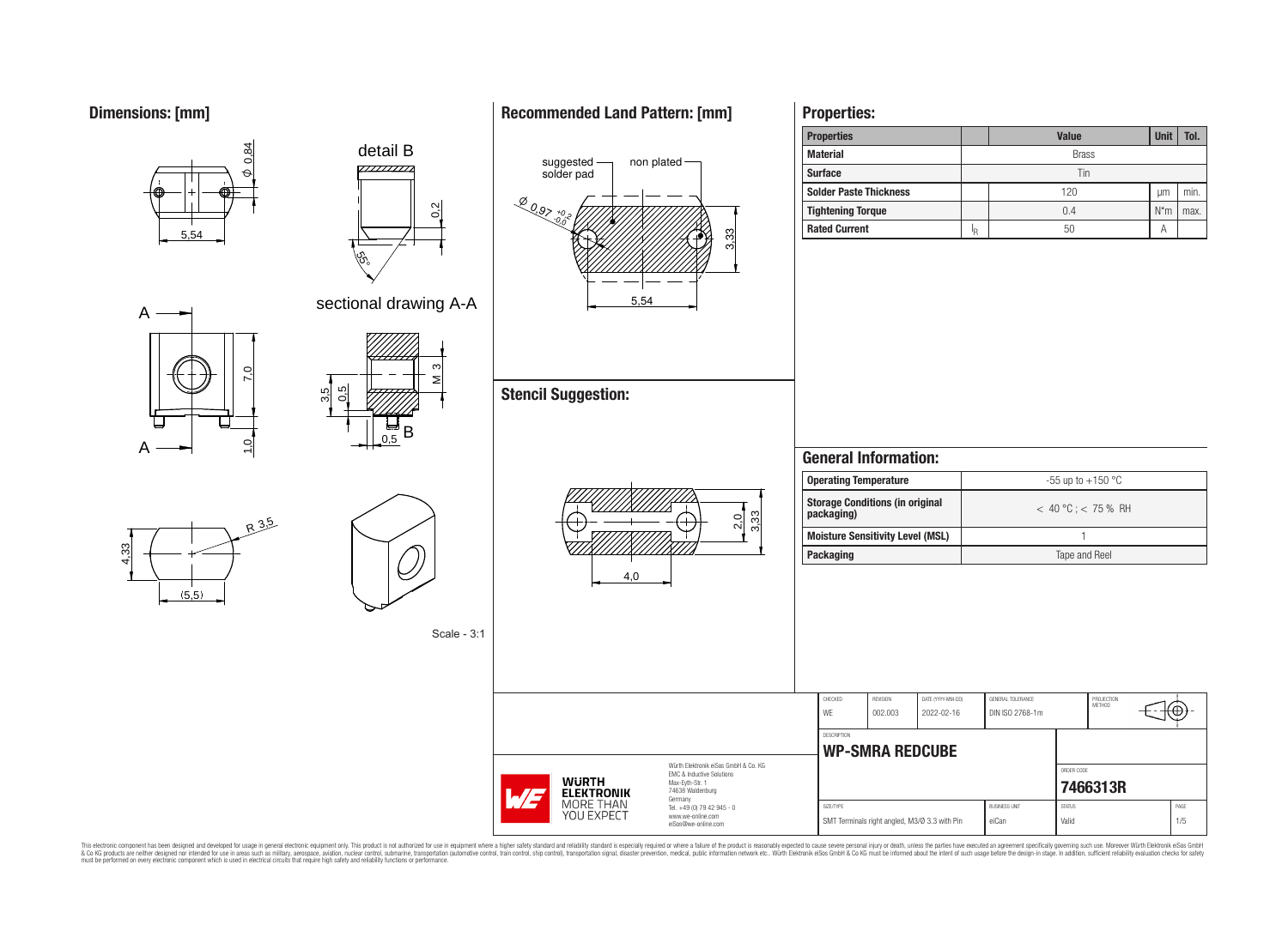**Dimensions: [mm]**

# **Recommended Land Pattern: [mm]**

**Properties:**



This electronic component has been designed and developed for usage in general electronic equipment only. This product is not authorized for subserved requipment where a higher selection equipment where a higher selection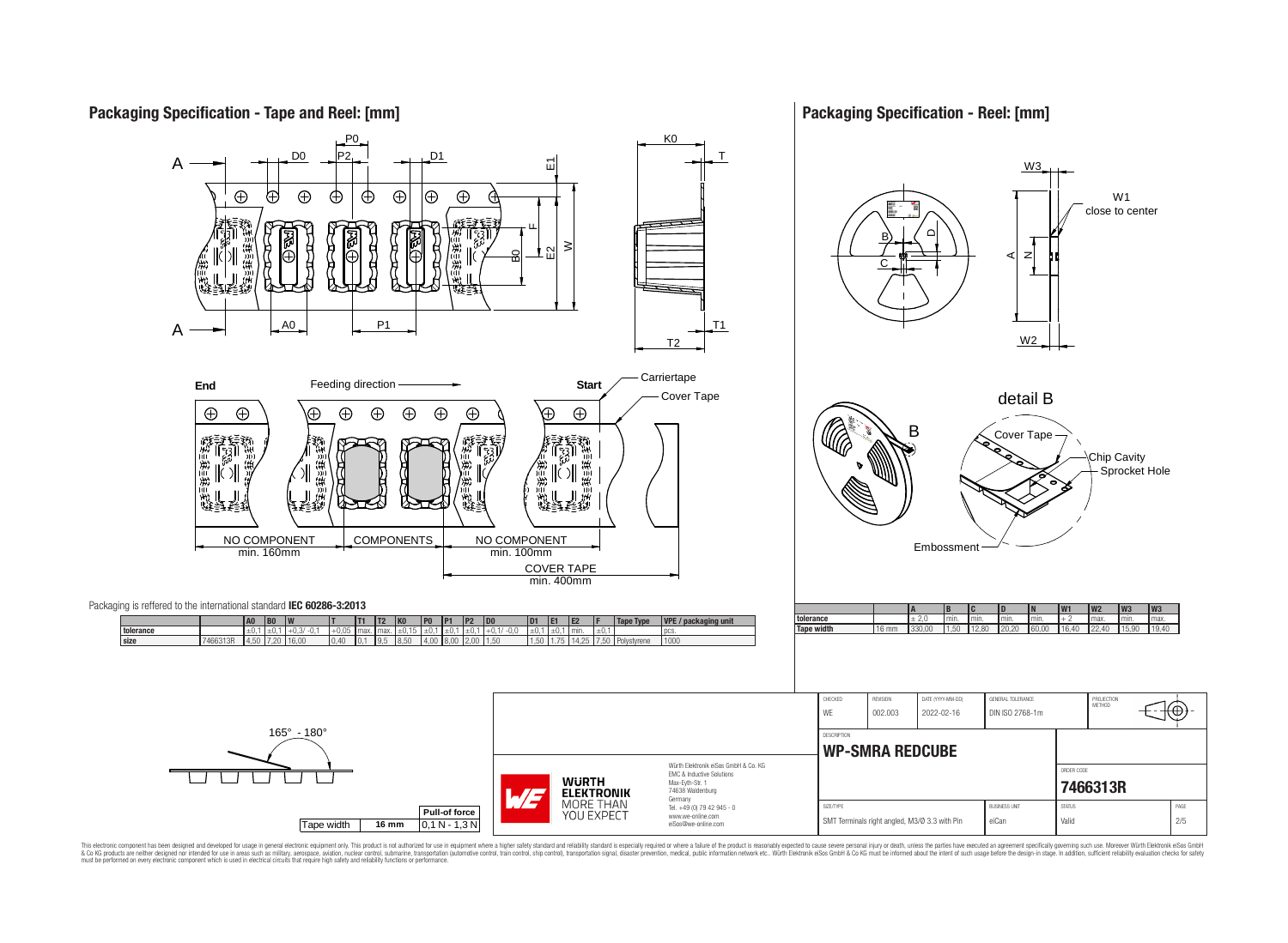

This electronic component has been designed and developed for usage in general electronic equipment only. This product is not authorized for use in equipment where a higher safely standard and reliability standard si espec & Ook product a label and the membed of the seasuch as marked and as which such a membed and the such assume that income in the seasuch and the simulation and the such assume that include to the such a membed and the such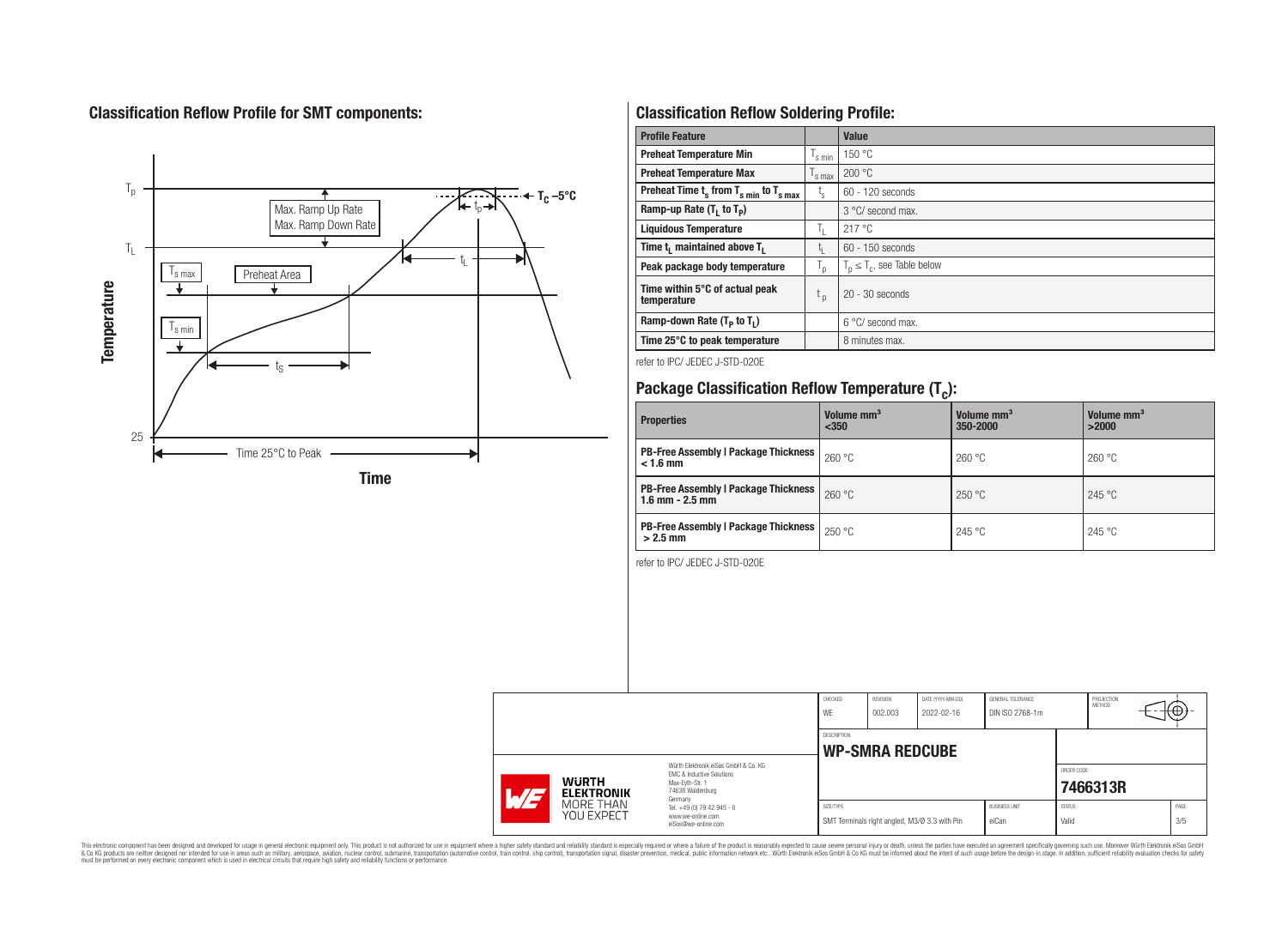# **Classification Reflow Profile for SMT components:**



# **Classification Reflow Soldering Profile:**

| <b>Profile Feature</b>                              |                           | <b>Value</b>                     |
|-----------------------------------------------------|---------------------------|----------------------------------|
| <b>Preheat Temperature Min</b>                      |                           | 150 °C                           |
| <b>Preheat Temperature Max</b>                      | <sup>I</sup> s max        | 200 °C                           |
| Preheat Time $t_s$ from $T_{s,min}$ to $T_{s,max}$  | $t_{\rm s}$               | $60 - 120$ seconds               |
| Ramp-up Rate $(T_1$ to $T_p$ )                      |                           | 3 °C/ second max.                |
| <b>Liquidous Temperature</b>                        | ъ.                        | 217 °C                           |
| Time t <sub>i</sub> maintained above T <sub>1</sub> | t,                        | $60 - 150$ seconds               |
| Peak package body temperature                       | $\mathsf{I}_{\mathsf{D}}$ | $T_p \leq T_c$ , see Table below |
| Time within 5°C of actual peak<br>temperature       | t <sub>p</sub>            | $20 - 30$ seconds                |
| Ramp-down Rate $(T_p$ to $T_1$ )                    |                           | $6^{\circ}$ C/ second max.       |
| Time 25°C to peak temperature                       |                           | 8 minutes max.                   |

refer to IPC/ JEDEC J-STD-020E

# **Package Classification Reflow Temperature (T<sup>c</sup> ):**

| <b>Properties</b>                                                    | Volume mm <sup>3</sup><br>$350$ | Volume mm <sup>3</sup><br>350-2000 | Volume mm <sup>3</sup><br>>2000 |  |  |
|----------------------------------------------------------------------|---------------------------------|------------------------------------|---------------------------------|--|--|
| <b>PB-Free Assembly   Package Thickness  </b><br>$< 1.6$ mm          | 260 °C                          | 260 °C                             | 260 °C                          |  |  |
| <b>PB-Free Assembly   Package Thickness  </b><br>$1.6$ mm $- 2.5$ mm | 260 °C                          | 250 °C                             | 245 °C                          |  |  |
| <b>PB-Free Assembly   Package Thickness  </b><br>$>2.5$ mm           | 250 °C                          | 245 °C                             | 245 °C                          |  |  |

refer to IPC/ JEDEC J-STD-020E

|                     |                                                                                                                                          |                                                                        | CHECKED<br>WE                                              | <b>REVISION</b><br>002.003 | DATE (YYYY-MM-DD)<br>2022-02-16 | GENERAL TOLERANCE<br>DIN ISO 2768-1m |                        | PROJECTION<br>METHOD | ι€ |             |
|---------------------|------------------------------------------------------------------------------------------------------------------------------------------|------------------------------------------------------------------------|------------------------------------------------------------|----------------------------|---------------------------------|--------------------------------------|------------------------|----------------------|----|-------------|
|                     |                                                                                                                                          |                                                                        | DESCRIPTION<br><b>WP-SMRA REDCUBE</b>                      |                            |                                 |                                      |                        |                      |    |             |
| <b>WURTH</b><br>ATF | Würth Elektronik eiSos GmbH & Co. KG<br>EMC & Inductive Solutions<br>Max-Evth-Str. 1<br>74638 Waldenburg<br><b>ELEKTRONIK</b><br>Germany |                                                                        |                                                            |                            |                                 |                                      | ORDER CODE             | 7466313R             |    |             |
|                     | MORE THAN<br>YOU EXPECT                                                                                                                  | Tel. +49 (0) 79 42 945 - 0<br>www.we-online.com<br>eiSos@we-online.com | SIZE/TYPE<br>SMT Terminals right angled, M3/Ø 3.3 with Pin |                            |                                 | <b>BUSINESS UNIT</b><br>eiCan        | <b>STATUS</b><br>Valid |                      |    | PAGE<br>3/5 |

This electronic component has been designed and developed for usage in general electronic equipment only. This product is not authorized for subserved requipment where a higher selection equipment where a higher selection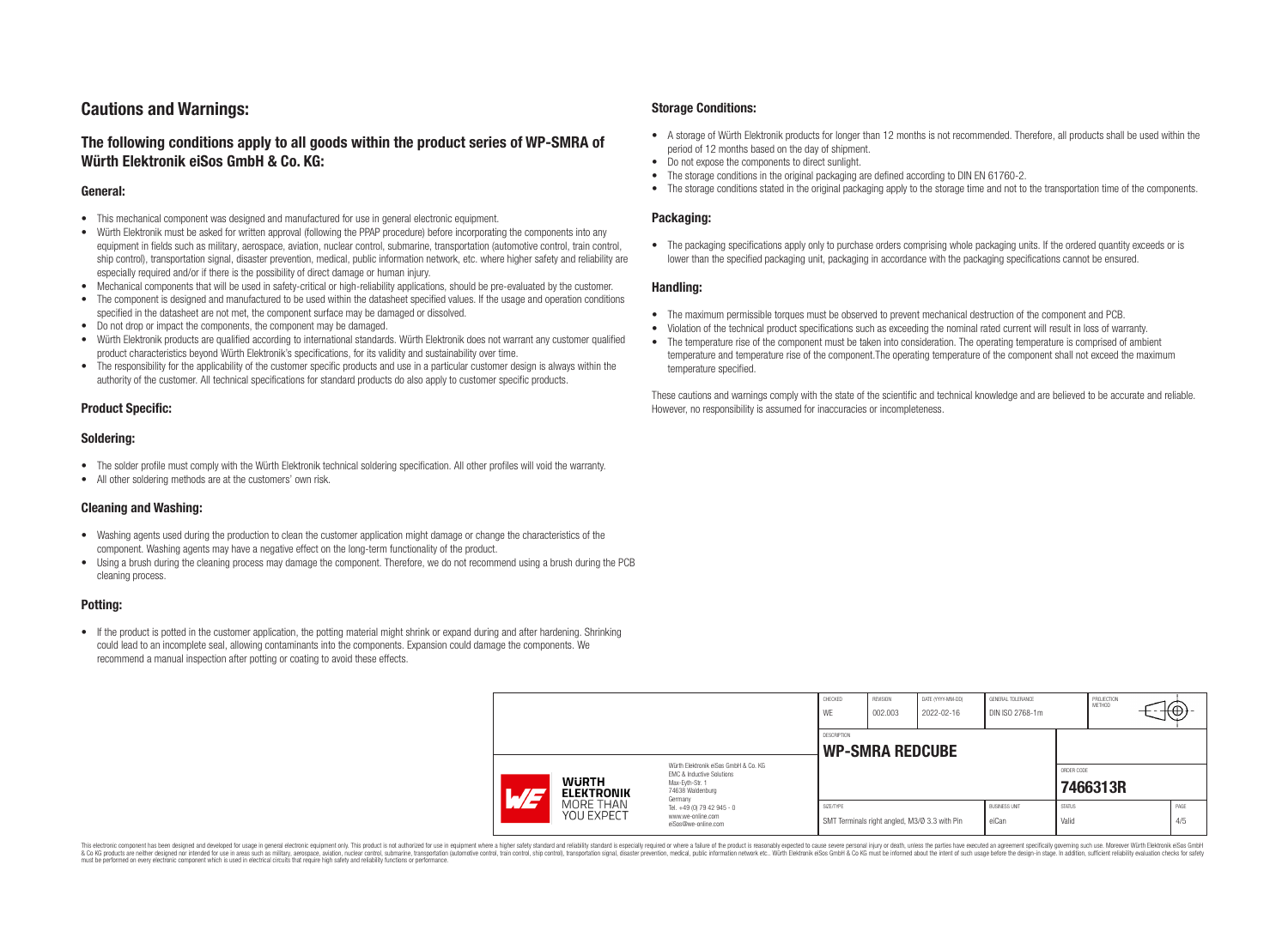# **Cautions and Warnings:**

# **The following conditions apply to all goods within the product series of WP-SMRA of Würth Elektronik eiSos GmbH & Co. KG:**

#### **General:**

- This mechanical component was designed and manufactured for use in general electronic equipment.
- Würth Elektronik must be asked for written approval (following the PPAP procedure) before incorporating the components into any equipment in fields such as military, aerospace, aviation, nuclear control, submarine, transportation (automotive control, train control, ship control), transportation signal, disaster prevention, medical, public information network, etc. where higher safety and reliability are especially required and/or if there is the possibility of direct damage or human injury.
- Mechanical components that will be used in safety-critical or high-reliability applications, should be pre-evaluated by the customer.
- The component is designed and manufactured to be used within the datasheet specified values. If the usage and operation conditions specified in the datasheet are not met, the component surface may be damaged or dissolved.
- Do not drop or impact the components, the component may be damaged.
- Würth Elektronik products are qualified according to international standards. Würth Elektronik does not warrant any customer qualified product characteristics beyond Würth Elektronik's specifications, for its validity and sustainability over time.
- The responsibility for the applicability of the customer specific products and use in a particular customer design is always within the authority of the customer. All technical specifications for standard products do also apply to customer specific products.

### **Product Specific:**

#### **Soldering:**

- The solder profile must comply with the Würth Elektronik technical soldering specification. All other profiles will void the warranty.
- All other soldering methods are at the customers' own risk.

### **Cleaning and Washing:**

- Washing agents used during the production to clean the customer application might damage or change the characteristics of the component. Washing agents may have a negative effect on the long-term functionality of the product.
- Using a brush during the cleaning process may damage the component. Therefore, we do not recommend using a brush during the PCB cleaning process.

# **Potting:**

• If the product is potted in the customer application, the potting material might shrink or expand during and after hardening. Shrinking could lead to an incomplete seal, allowing contaminants into the components. Expansion could damage the components. We recommend a manual inspection after potting or coating to avoid these effects.

#### **Storage Conditions:**

- A storage of Würth Elektronik products for longer than 12 months is not recommended. Therefore, all products shall be used within the period of 12 months based on the day of shipment.
- Do not expose the components to direct sunlight.
- The storage conditions in the original packaging are defined according to DIN EN 61760-2.
- The storage conditions stated in the original packaging apply to the storage time and not to the transportation time of the components.

#### **Packaging:**

• The packaging specifications apply only to purchase orders comprising whole packaging units. If the ordered quantity exceeds or is lower than the specified packaging unit, packaging in accordance with the packaging specifications cannot be ensured.

#### **Handling:**

- The maximum permissible torques must be observed to prevent mechanical destruction of the component and PCB.
- Violation of the technical product specifications such as exceeding the nominal rated current will result in loss of warranty.
- The temperature rise of the component must be taken into consideration. The operating temperature is comprised of ambient temperature and temperature rise of the component.The operating temperature of the component shall not exceed the maximum temperature specified.

These cautions and warnings comply with the state of the scientific and technical knowledge and are believed to be accurate and reliable. However, no responsibility is assumed for inaccuracies or incompleteness.

|                                                                                                                                                          |                         |                                                 | CHECKED<br>WE | REVISION<br>002.003    | DATE (YYYY-MM-DD)<br>2022-02-16               | GENERAL TOLERANCE<br>DIN ISO 2768-1m |                        | PROJECTION<br>METHOD | ι€Θ         |
|----------------------------------------------------------------------------------------------------------------------------------------------------------|-------------------------|-------------------------------------------------|---------------|------------------------|-----------------------------------------------|--------------------------------------|------------------------|----------------------|-------------|
|                                                                                                                                                          |                         |                                                 | DESCRIPTION   | <b>WP-SMRA REDCUBE</b> |                                               |                                      |                        |                      |             |
| Würth Flektronik eiSos GmbH & Co. KG<br>FMC & Inductive Solutions<br><b>WURTH</b><br>Max-Eyth-Str. 1<br>74638 Waldenburg<br><b>ELEKTRONIK</b><br>Germany |                         |                                                 |               |                        |                                               | ORDER CODE                           | 7466313R               |                      |             |
|                                                                                                                                                          | MORE THAN<br>YOU EXPECT | Tel. +49 (0) 79 42 945 - 0<br>www.we-online.com | SIZE/TYPE     |                        | SMT Terminals right angled, M3/Ø 3.3 with Pin | <b>BUSINESS UNIT</b><br>eiCan        | <b>STATUS</b><br>Valid |                      | PAGE<br>4/5 |

This electronic component has been designed and developed for usage in general electronic equipment only. This product is not authorized for use in equipment where a higher safety standard and reliability standard si espec & Ook product a label and the membed of the seasuch as marked and as which such a membed and the such assume that income in the seasuch and the simulation and the such assume that include to the such a membed and the such